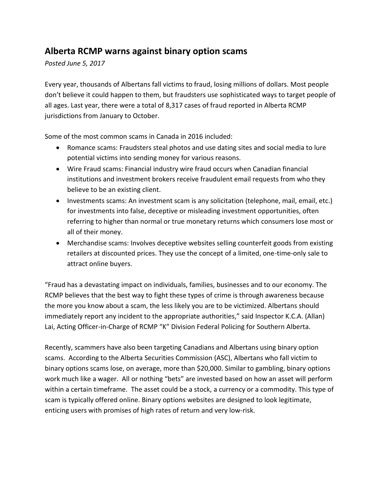## **Alberta RCMP warns against binary option scams**

*Posted June 5, 2017*

Every year, thousands of Albertans fall victims to fraud, losing millions of dollars. Most people don't believe it could happen to them, but fraudsters use sophisticated ways to target people of all ages. Last year, there were a total of 8,317 cases of fraud reported in Alberta RCMP jurisdictions from January to October.

Some of the most common scams in Canada in 2016 included:

- Romance scams: Fraudsters steal photos and use dating sites and social media to lure potential victims into sending money for various reasons.
- Wire Fraud scams: Financial industry wire fraud occurs when Canadian financial institutions and investment brokers receive fraudulent email requests from who they believe to be an existing client.
- Investments scams: An investment scam is any solicitation (telephone, mail, email, etc.) for investments into false, deceptive or misleading investment opportunities, often referring to higher than normal or true monetary returns which consumers lose most or all of their money.
- Merchandise scams: Involves deceptive websites selling counterfeit goods from existing retailers at discounted prices. They use the concept of a limited, one-time-only sale to attract online buyers.

"Fraud has a devastating impact on individuals, families, businesses and to our economy. The RCMP believes that the best way to fight these types of crime is through awareness because the more you know about a scam, the less likely you are to be victimized. Albertans should immediately report any incident to the appropriate authorities," said Inspector K.C.A. (Allan) Lai, Acting Officer-in-Charge of RCMP "K" Division Federal Policing for Southern Alberta.

Recently, scammers have also been targeting Canadians and Albertans using binary option scams. According to the Alberta Securities Commission (ASC), Albertans who fall victim to binary options scams lose, on average, more than \$20,000. Similar to gambling, binary options work much like a wager. All or nothing "bets" are invested based on how an asset will perform within a certain timeframe. The asset could be a stock, a currency or a commodity. This type of scam is typically offered online. Binary options websites are designed to look legitimate, enticing users with promises of high rates of return and very low-risk.